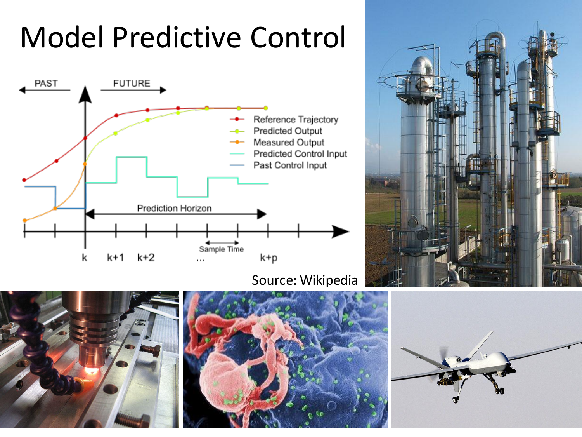## Model Predictive Control



Source: Wikipedia







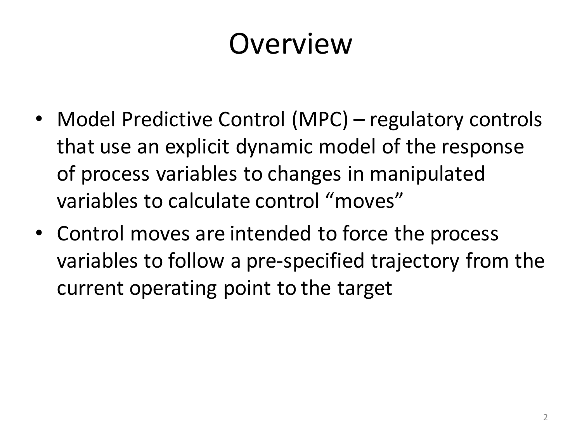### Overview

- Model Predictive Control (MPC) regulatory controls that use an explicit dynamic model of the response of process variables to changes in manipulated variables to calculate control "moves"
- Control moves are intended to force the process variables to follow a pre-specified trajectory from the current operating point to the target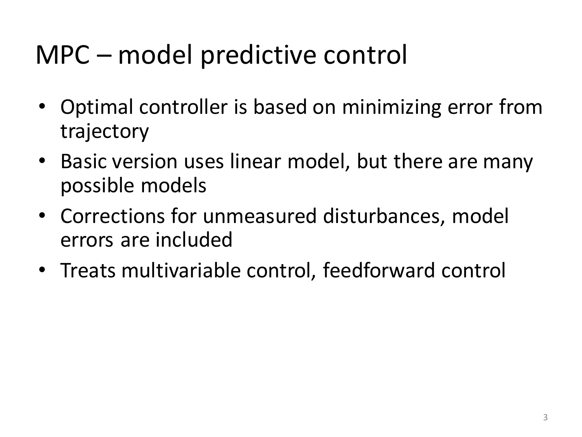#### MPC – model predictive control

- Optimal controller is based on minimizing error from trajectory
- Basic version uses linear model, but there are many possible models
- Corrections for unmeasured disturbances, model errors are included
- Treats multivariable control, feedforward control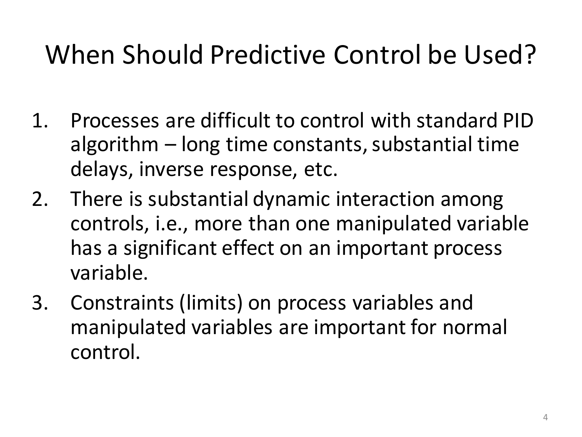#### When Should Predictive Control be Used?

- 1. Processes are difficult to control with standard PID algorithm – long time constants, substantial time delays, inverse response, etc.
- 2. There is substantial dynamic interaction among controls, i.e., more than one manipulated variable has a significant effect on an important process variable.
- 3. Constraints (limits) on process variables and manipulated variables are important for normal control.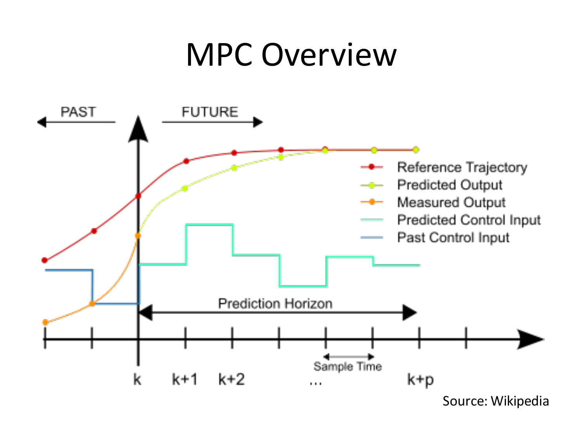#### MPC Overview

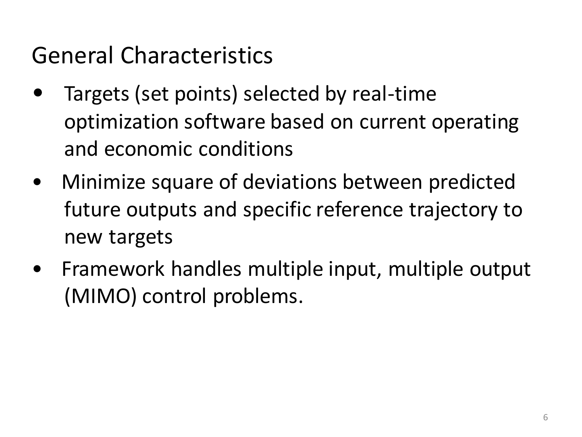General Characteristics

- Targets (set points) selected by real-time optimization software based on current operating and economic conditions
- Minimize square of deviations between predicted future outputs and specific reference trajectory to new targets
- Framework handles multiple input, multiple output (MIMO) control problems.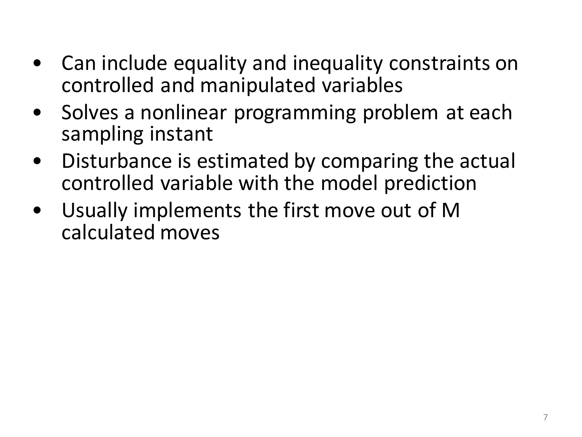- Can include equality and inequality constraints on controlled and manipulated variables
- Solves a nonlinear programming problem at each sampling instant
- Disturbance is estimated by comparing the actual controlled variable with the model prediction
- Usually implements the first move out of M calculated moves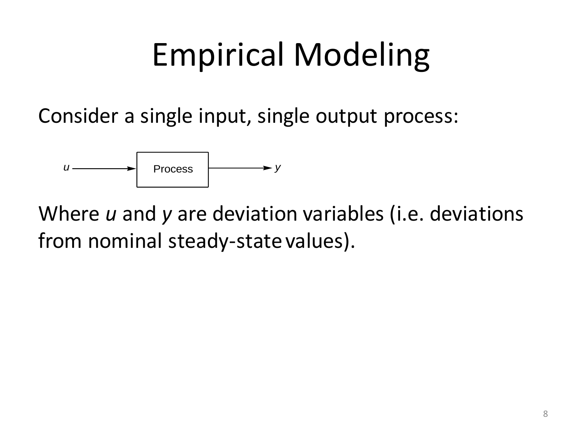# Empirical Modeling

Consider a single input, single output process:



Where *u* and *y* are deviation variables (i.e. deviations from nominal steady-state values).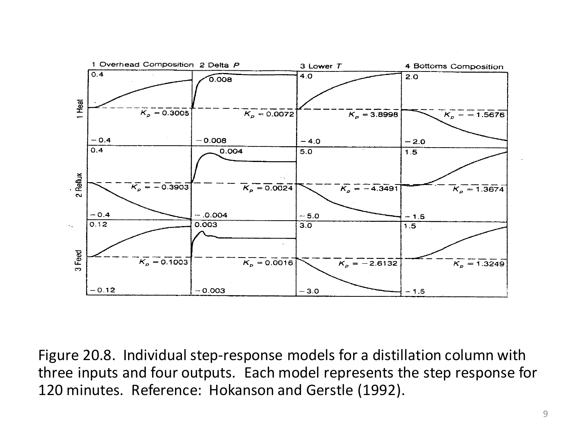

Figure 20.8. Individual step-response models for a distillation column with three inputs and four outputs. Each model represents the step response for 120 minutes. Reference: Hokanson and Gerstle (1992).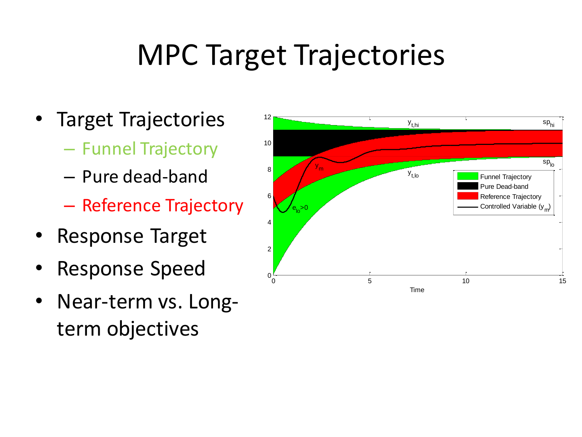### MPC Target Trajectories

- Target Trajectories
	- Funnel Trajectory
	- Pure dead-band
	- Reference Trajectory
- Response Target
- Response Speed
- Near-term vs. Longterm objectives

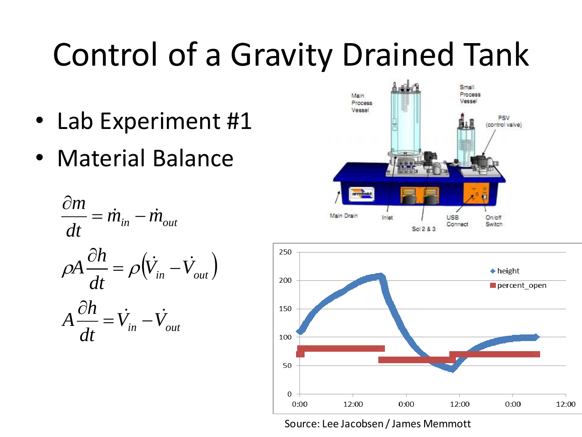# Control of a Gravity Drained Tank

- Lab Experiment #1
- Material Balance

$$
\frac{\partial m}{\partial t} = \dot{m}_{in} - \dot{m}_{out}
$$
\n
$$
\rho A \frac{\partial h}{\partial t} = \rho (\dot{V}_{in} - \dot{V}_{out})
$$
\n
$$
A \frac{\partial h}{\partial t} = \dot{V}_{in} - \dot{V}_{out}
$$





Source: Lee Jacobsen / James Memmott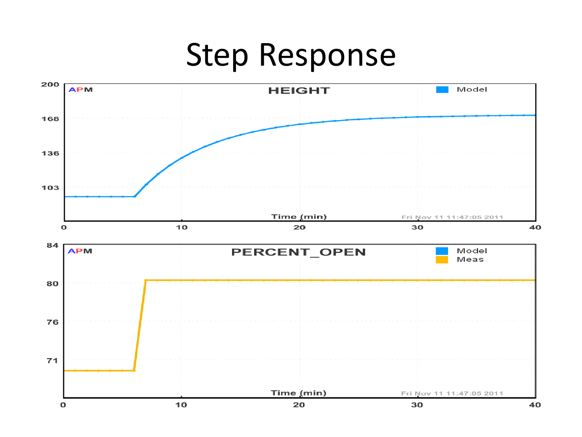## Step Response

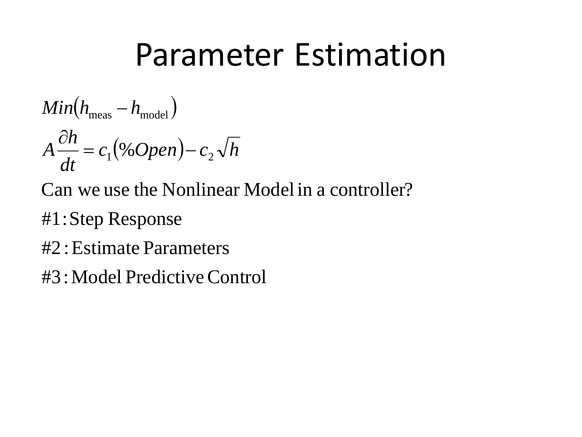## Parameter Estimation

$$
Min(h_{\text{meas}} - h_{\text{model}})
$$

$$
A \frac{\partial h}{\partial t} = c_1 (\% Open) - c_2 \sqrt{h}
$$

- Can we use the Nonlinear Model in a controller?
- #1:Step Response
- #2 :Estimate Parameters
- #3:Model PredictiveControl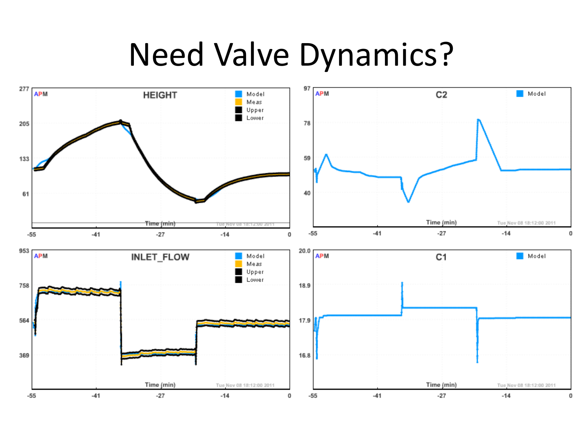## Need Valve Dynamics?

![](_page_13_Figure_1.jpeg)